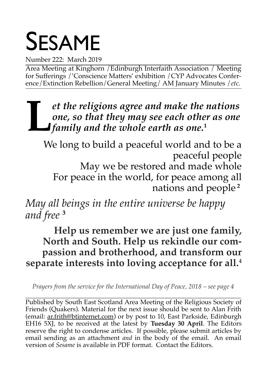# SESAME

Number 222: March 2019

Area Meeting at Kinghorn /Edinburgh Interfaith Association / Meeting for Sufferings /'Conscience Matters' exhibition /CYP Advocates Conference/Extinction Rebellion/General Meeting/ AM January Minutes /*etc.*

*et the religions agree and make the nations one, so that they may see each other as one family and the whole earth as one, so that they may see each othe*<br>family and the whole earth as one.<sup>1</sup>

We long to build a peaceful world and to be a peaceful people May we be restored and made whole For peace in the world, for peace among all nations and people **<sup>2</sup>**

*May all beings in the entire universe be happy and free* **<sup>3</sup>**

**Help us remember we are just one family, North and South. Help us rekindle our compassion and brotherhood, and transform our separate interests into loving acceptance for all.<sup>4</sup>**

*Prayers from the service for the International Day of Peace, 2018 – see page 4*

\_\_\_\_\_\_\_\_\_\_\_\_\_\_\_\_\_\_\_\_\_\_\_\_\_\_\_\_\_\_\_\_\_\_\_\_\_\_\_\_\_\_\_\_\_\_\_\_\_\_\_\_\_\_\_\_\_\_\_\_\_\_\_\_\_\_\_\_\_\_\_\_\_\_\_\_\_\_\_\_ Published by South East Scotland Area Meeting of the Religious Society of Friends (Quakers). Material for the next issue should be sent to Alan Frith (email: ar.frith@btinternet.com) or by post to 10, East Parkside, Edinburgh EH16 5XJ, to be received at the latest by **Tuesday 30 April**. The Editors reserve the right to condense articles. If possible, please submit articles by email sending as an attachment *and* in the body of the email. An email version of *Sesame* is available in PDF format. Contact the Editors.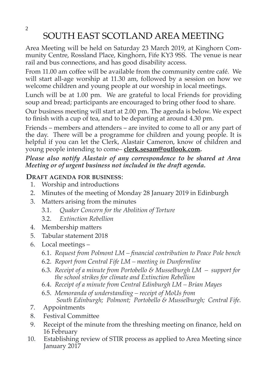2

## SOUTH EAST SCOTLAND AREA MEETING

Area Meeting will be held on Saturday 23 March 2019, at Kinghorn Community Centre, Rossland Place, Kinghorn, Fife KY3 9SS. The venue is near rail and bus connections, and has good disability access.

From 11.00 am coffee will be available from the community centre café. We will start all-age worship at 11.30 am, followed by a session on how we welcome children and young people at our worship in local meetings.

Lunch will be at 1.00 pm. We are grateful to local Friends for providing soup and bread; participants are encouraged to bring other food to share.

Our business meeting will start at 2.00 pm. The agenda is below. We expect to finish with a cup of tea, and to be departing at around 4.30 pm.

Friends – members and attenders – are invited to come to all or any part of the day. There will be a programme for children and young people. It is helpful if you can let the Clerk, Alastair Cameron, know of children and young people intending to come– **[clerk.sesam@outlook.com.](mailto:clerk.sesam@outlook.com)**

*Please also notify Alastair of any correspondence to be shared at Area Meeting or of urgent business not included in the draft agenda.*

#### **DRAFT AGENDA FOR BUSINESS**:

- 1. Worship and introductions
- 2. Minutes of the meeting of Monday 28 January 2019 in Edinburgh
- 3. Matters arising from the minutes
	- 3.1. *Quaker Concern for the Abolition of Torture*
	- 3.2. *Extinction Rebellion*
- 4. Membership matters
- 5. Tabular statement 2018
- 6. Local meetings
	- 6.1. *Request from Polmont LM financial contribution to Peace Pole bench*
	- 6.2. *Report from Central Fife LM meeting in Dunfermline*
	- 6.3. *Receipt of a minute from Portobello & Musselburgh LM support for the school strikes for climate and Extinction Rebellion*
	- 6.4. *Receipt of a minute from Central Edinburgh LM Brian Mayes*
	- 6.5. *Memoranda of understanding receipt of MoUs from South Edinburgh; Polmont; Portobello & Musselburgh; Central Fife.*
- 7. Appointments
- 8. Festival Committee
- 9. Receipt of the minute from the threshing meeting on finance, held on 16 February
- 10. Establishing review of STIR process as applied to Area Meeting since January 2017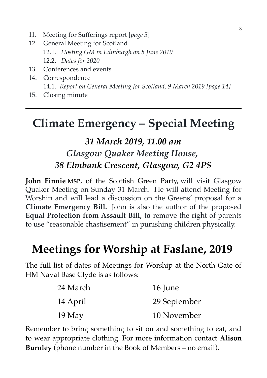- 11. Meeting for Sufferings report [*page 5*]
- 12. General Meeting for Scotland 12.1. *Hosting GM in Edinburgh on 8 June 2019* 12.2. *Dates for 2020*
- 13. Conferences and events
- 14. Correspondence 14.1. *Report on General Meeting for Scotland, 9 March 2019 [page 14]*
- 15. Closing minute

## **Climate Emergency – Special Meeting**

## *31 March 2019, 11.00 am Glasgow Quaker Meeting House, 38 Elmbank Crescent, Glasgow, G2 4PS*

**John Finnie MSP**, of the Scottish Green Party, will visit Glasgow Quaker Meeting on Sunday 31 March. He will attend Meeting for Worship and will lead a discussion on the Greens' proposal for a **Climate Emergency Bill.** John is also the author of the proposed **Equal Protection from Assault Bill, to** remove the right of parents to use "reasonable chastisement" in punishing children physically.

## **Meetings for Worship at Faslane, 2019**

The full list of dates of Meetings for Worship at the North Gate of HM Naval Base Clyde is as follows:

| 24 March | 16 June      |
|----------|--------------|
| 14 April | 29 September |
| $19$ May | 10 November  |

Remember to bring something to sit on and something to eat, and to wear appropriate clothing. For more information contact **Alison Burnley** (phone number in the Book of Members – no email).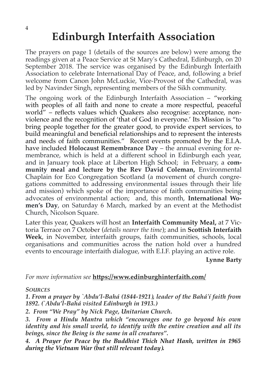## **Edinburgh Interfaith Association**

The prayers on page 1 (details of the sources are below) were among the readings given at a Peace Service at St Mary's Cathedral, Edinburgh, on 20 September 2018. The service was organised by the Edinburgh Interfaith Association to celebrate International Day of Peace, and, following a brief welcome from Canon John McLuckie, Vice-Provost of the Cathedral, was led by Navinder Singh, representing members of the Sikh community.

The ongoing work of the Edinburgh Interfaith Association – "working with peoples of all faith and none to create a more respectful, peaceful world" – reflects values which Quakers also recognise: acceptance, nonviolence and the recognition of 'that of God in everyone.' Its Mission is "to bring people together for the greater good, to provide expert services, to build meaningful and beneficial relationships and to represent the interests and needs of faith communities." Recent events promoted by the E.I.A. have included **Holocaust Remembrance Day** – the annual evening for remembrance, which is held at a different school in Edinburgh each year, and in January took place at Liberton High School; in February, a **community meal and lecture by the Rev David Coleman,** Environmental Chaplain for Eco Congregation Scotland (a movement of church congregations committed to addressing environmental issues through their life and mission) which spoke of the importance of faith communities being advocates of environmental action; and, this month, **International Women's Day**, on Saturday 6 March, marked by an event at the Methodist Church, Nicolson Square.

Later this year, Quakers will host an **Interfaith Community Meal,** at 7 Victoria Terrace on 7 October (*details nearer the time*); and in **Scottish Interfaith Week**, in November, interfaith groups, faith communities, schools, local organisations and communities across the nation hold over a hundred events to encourage interfaith dialogue, with E.I.F. playing an active role.

**Lynne Barty**

#### *For more information see* **https://www.edinburghinterfaith.com/**

#### *SOURCES*

*1. From a prayer by `Abdu'l-Bahá (1844-1921), leader of the Bahá'í faith from 1892. (`Abdu'l-Bahá visited Edinburgh in 1913.)*

*2. From "We Pray" by Nick Page, Unitarian Church.*

*3. From a Hindu Mantra which "encourages one to go beyond his own identity and his small world, to identify with the entire creation and all its beings, since the Being is the same in all creatures".*

*4. A Prayer for Peace by the Buddhist Thich Nhat Hanh, written in 1965 during the Vietnam War (but still relevant today).*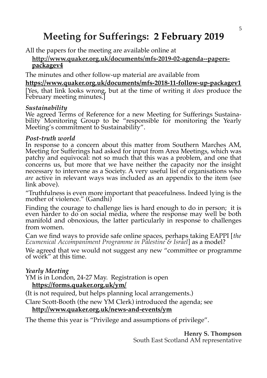## **Meeting for Sufferings: 2 February 2019**

All the papers for the meeting are available online at

#### **[http://www.quaker.org.uk/documents/mfs-2019-02-agenda--papers](http://www.quaker.org.uk/documents/mfs-2019-02-agenda--papers-)  packagev4**

The minutes and other follow-up material are available from

**https://www.quaker.org.uk/documents/mfs-2018-11-follow-up-packagev1** [Yes, that link looks wrong, but at the time of writing it *does* produce the February meeting minutes.]

#### *Sustainability*

We agreed Terms of Reference for a new Meeting for Sufferings Sustainability Monitoring Group to be "responsible for monitoring the Yearly Meeting's commitment to Sustainability".

#### *Post-truth world*

In response to a concern about this matter from Southern Marches AM, Meeting for Sufferings had asked for input from Area Meetings, which was patchy and equivocal: not so much that this was a problem, and one that concerns us, but more that we have neither the capacity nor the insight necessary to intervene as a Society. A very useful list of organisations who *are* active in relevant ways was included as an appendix to the item (see link above).

"Truthfulness is even more important that peacefulness. Indeed lying is the mother of violence." (Gandhi)

Finding the courage to challenge lies is hard enough to do in person; it is even harder to do on social media, where the response may well be both manifold and obnoxious, the latter particularly in response to challenges from women.

Can we find ways to provide safe online spaces, perhaps taking EAPPI [*the Ecumenical Accompaniment Programme in Palestine & Israel*] as a model?

We agreed that we would not suggest any new "committee or programme of work" at this time.

#### *Yearly Meeting*

YM is in London, 24-27 May. Registration is open  **https://forms.quaker.org.uk/ym/**

(It is not required, but helps planning local arrangements.)

Clare Scott-Booth (the new YM Clerk) introduced the agenda; see

#### **http://www.quaker.org.uk/news-and-events/ym**

The theme this year is "Privilege and assumptions of privilege".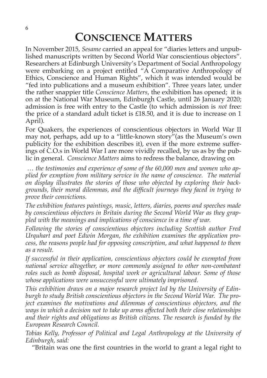## **CONSCIENCE MATTERS**

In November 2015, *Sesame* carried an appeal for "diaries letters and unpublished manuscripts written by Second World War conscientious objectors". Researchers at Edinburgh University's Department of Social Anthropology were embarking on a project entitled "A Comparative Anthropology of Ethics, Conscience and Human Rights", which it was intended would be "fed into publications and a museum exhibition". Three years later, under the rather snappier title *Conscience Matters*, the exhibition has opened; it is on at the National War Museum, Edinburgh Castle, until 26 January 2020; admission is free with entry to the Castle (to which admission is *not* free: the price of a standard adult ticket is £18.50, and it is due to increase on 1 April).

For Quakers, the experiences of conscientious objectors in World War II may not, perhaps, add up to a "little-known story"(as the Museum's own publicity for the exhibition describes it), even if the more extreme sufferings of C.O.s in World War I are more vividly recalled, by us as by the public in general. *Conscience Matters* aims to redress the balance, drawing on

 *… the testimonies and experience of some of the 60,000 men and women who applied for exmption from military service in the name of conscience. The material on display illustrates the stories of those who objected by exploring their backgrounds, their moral dilemmas, and the difficult journeys they faced in trying to prove their convictions.*

*The exhibition features paintings, music, letters, diaries, poems and speeches made by conscientious objectors in Britain during the Second World War as they grappled with the meanings and implications of conscience in a time of war.*

*Following the stories of conscientious objectors including Scottish author Fred Urquhart and poet Edwin Morgan, the exhibition examines the application process, the reasons people had for opposing conscription, and what happened to them as a result.*

*If successful in their application, conscientious objectors could be exempted from national service altogether, or more commonly assigned to other non-combatant roles such as bomb disposal, hospital work or agricultural labour. Some of those whose applications were unsuccessful were ultimately imprisoned.*

*This exhibition draws on a major research project led by the University of Edinburgh to study British conscientious objectors in the Second World War. The project examines the motivations and dilemmas of conscientious objectors, and the ways in which a decision not to take up arms affected both their close relationships and their rights and obligations as British citizens. The research is funded by the European Research Council.*

*Tobias Kelly, Professor of Political and Legal Anthropology at the University of Edinburgh, said:*

"Britain was one the first countries in the world to grant a legal right to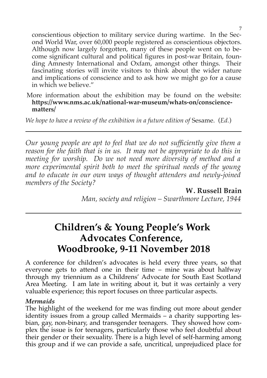conscientious objection to military service during wartime. In the Second World War, over 60,000 people registered as conscientious objectors. Although now largely forgotten, many of these people went on to become significant cultural and political figures in post-war Britain, founding Amnesty International and Oxfam, amongst other things. Their fascinating stories will invite visitors to think about the wider nature and implications of conscience and to ask how we might go for a cause in which we believe."

More information about the exhibition may be found on the website: **https://www.nms.ac.uk/national-war-museum/whats-on/consciencematters/**

*We hope to have a review of the exhibition in a future edition of Sesame.* (*Ed.*)

*Our young people are apt to feel that we do not sufficiently give them a reason for the faith that is in us. It may not be appropriate to do this in meeting for worship. Do we not need more diversity of method and a more experimental spirit both to meet the spiritual needs of the young and to educate in our own ways of thought attenders and newly-joined members of the Society?*

> **W. Russell Brain** *Man, society and religion – Swarthmore Lecture, 1944*

## **Children's & Young People's Work Advocates Conference, Woodbrooke, 9-11 November 2018**

A conference for children's advocates is held every three years, so that everyone gets to attend one in their time – mine was about halfway through my triennium as a Childrens' Advocate for South East Scotland Area Meeting. I am late in writing about it, but it was certainly a very valuable experience; this report focuses on three particular aspects.

#### *Mermaids*

The highlight of the weekend for me was finding out more about gender identity issues from a group called Mermaids – a charity supporting lesbian, gay, non-binary, and transgender teenagers. They showed how complex the issue is for teenagers, particularly those who feel doubtful about their gender or their sexuality. There is a high level of self-harming among this group and if we can provide a safe, uncritical, unprejudiced place for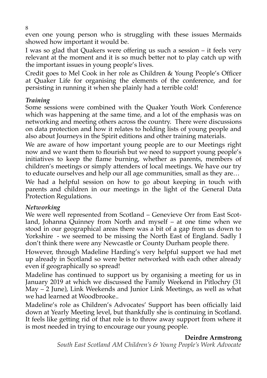even one young person who is struggling with these issues Mermaids showed how important it would be.

I was so glad that Quakers were offering us such a session – it feels very relevant at the moment and it is so much better not to play catch up with the important issues in young people's lives.

Credit goes to Mel Cook in her role as Children & Young People's Officer at Quaker Life for organising the elements of the conference, and for persisting in running it when she plainly had a terrible cold!

#### *Training*

Some sessions were combined with the Quaker Youth Work Conference which was happening at the same time, and a lot of the emphasis was on networking and meeting others across the country. There were discussions on data protection and how it relates to holding lists of young people and also about Journeys in the Spirit editions and other training materials.

We are aware of how important young people are to our Meetings right now and we want them to flourish but we need to support young people's initiatives to keep the flame burning, whether as parents, members of children's meetings or simply attenders of local meetings. We have our try to educate ourselves and help our all age communities, small as they are…

We had a helpful session on how to go about keeping in touch with parents and children in our meetings in the light of the General Data Protection Regulations.

#### *Networking*

We were well represented from Scotland – Genevieve Orr from East Scotland, Johanna Quinney from North and myself – at one time when we stood in our geographical areas there was a bit of a gap from us down to Yorkshire - we seemed to be missing the North East of England. Sadly I don't think there were any Newcastle or County Durham people there.

However, through Madeline Harding's very helpful support we had met up already in Scotland so were better networked with each other already even if geographically so spread!

Madeline has continued to support us by organising a meeting for us in January 2019 at which we discussed the Family Weekend in Pitlochry (31 May – 2 June), Link Weekends and Junior Link Meetings, as well as what we had learned at Woodbrooke..

Madeline's role as Children's Advocates' Support has been officially laid down at Yearly Meeting level, but thankfully she is continuing in Scotland. It feels like getting rid of that role is to throw away support from where it is most needed in trying to encourage our young people.

#### **Deirdre Armstrong**

*South East Scotland AM Children's & Young People's Work Advocate*

8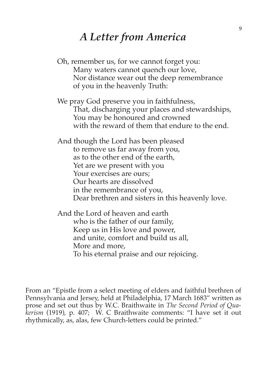## *A Letter from America*

- Oh, remember us, for we cannot forget you: Many waters cannot quench our love, Nor distance wear out the deep remembrance of you in the heavenly Truth:
- We pray God preserve you in faithfulness, That, discharging your places and stewardships, You may be honoured and crowned with the reward of them that endure to the end.

And though the Lord has been pleased to remove us far away from you, as to the other end of the earth, Yet are we present with you Your exercises are ours: Our hearts are dissolved in the remembrance of you, Dear brethren and sisters in this heavenly love.

And the Lord of heaven and earth who is the father of our family, Keep us in His love and power, and unite, comfort and build us all, More and more, To his eternal praise and our rejoicing.

From an "Epistle from a select meeting of elders and faithful brethren of Pennsylvania and Jersey, held at Philadelphia, 17 March 1683" written as prose and set out thus by W.C. Braithwaite in *The Second Period of Quakerism* (1919), p. 407; W. C Braithwaite comments: "I have set it out rhythmically, as, alas, few Church-letters could be printed."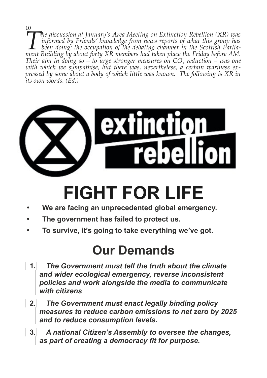10 *he discussion at January's Area Meeting on Extinction Rebellion (XR) was informed by Friends' knowledge from news reports of what this group has been doing: the occupation of the debating chamber in the Scottish Parlia-Ihe discussion at January's Area Meeting on Extinction Rebellion (XR) was informed by Friends' knowledge from news reports of what this group has been doing: the occupation of the debating chamber in the Scottish Parliame Their aim in doing so – to urge stronger measures on CO2 reduction – was one* with which we sympathise, but there was, nevertheless, a certain wariness ex*pressed by some about a body of which little was known. The following is XR in its own words. (Ed.)* 



# **FIGHT FOR LIFE**

- We are facing an unprecedented global emergency.
- · **The government has failed to protect us.**
- · **To survive, it's going to take everything we've got.**

# **Our Demands**

- **1.** *The Government must tell the truth about the climate and wider ecological emergency, reverse inconsistent policies and work alongside the media to communicate with citizens*
- **2.** *The Government must enact legally binding policy measures to reduce carbon emissions to net zero by 2025 and to reduce consumption levels.*
- **3.** *A national Citizen's Assembly to oversee the changes, as part of creating a democracy fit for purpose.*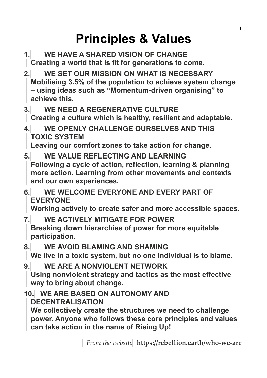# **Principles & Values**

- **1. WE HAVE A SHARED VISION OF CHANGE Creating a world that is fit for generations to come.**
- **2. WE SET OUR MISSION ON WHAT IS NECESSARY Mobilising 3.5% of the population to achieve system change – using ideas such as "Momentum-driven organising" to achieve this.**
- **3. WE NEED A REGENERATIVE CULTURE Creating a culture which is healthy, resilient and adaptable.**
- **4. WE OPENLY CHALLENGE OURSELVES AND THIS TOXIC SYSTEM**

**Leaving our comfort zones to take action for change.**

- **5. WE VALUE REFLECTING AND LEARNING Following a cycle of action, reflection, learning & planning more action. Learning from other movements and contexts and our own experiences.**
- **6. WE WELCOME EVERYONE AND EVERY PART OF EVERYONE**

**Working actively to create safer and more accessible spaces.**

- **7. WE ACTIVELY MITIGATE FOR POWER Breaking down hierarchies of power for more equitable participation.**
- **8. WE AVOID BLAMING AND SHAMING We live in a toxic system, but no one individual is to blame.**
- **9. WE ARE A NONVIOLENT NETWORK Using nonviolent strategy and tactics as the most effective way to bring about change.**
- **10. WE ARE BASED ON AUTONOMY AND DECENTRALISATION We collectively create the structures we need to challenge power. Anyone who follows these core principles and values can take action in the name of Rising Up!**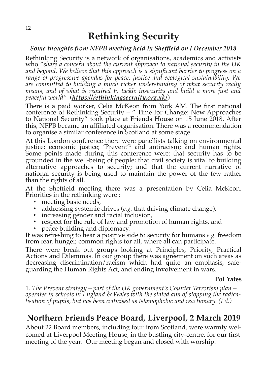#### *Some thoughts from NFPB meeting held in Sheffield on l December 2018*

Rethinking Security is a network of organisations, academics and activists who "*share a concern about the current approach to national security in the UK and beyond. We believe that this approach is a significant barrier to progress on a range of progressive agendas for peace, justice and ecological sustainability. We are committed to building a much richer understanding of what security really means, and of what is required to tackle insecurity and build a more just and peaceful world"* (*<https://rethinkingsecruity.org.uk/>*)

There is a paid worker, Celia McKeon from York AM. The first national conference of Rethinking Security – " Time for Change: New Approaches to National Security" took place at Friends House on 15 June 2018. After this, NFPB became an affiliated organisation. There was a recommendation to organise a similar conference in Scotland at some stage.

At this London conference there were panellists talking on environmental justice; economic justice; 'Prevent'<sup>1</sup> and antiracism; and human rights. Some points made during this conference were: that security has to be grounded in the well-being of people; that civil society is vital to building alternative approaches to security; and that the current narrative of national security is being used to maintain the power of the few rather than the rights of all.

At the Sheffield meeting there was a presentation by Celia McKeon. Priorities in the rethinking were :

- meeting basic needs,
- addressing systemic drives (*e.g.* that driving climate change),
- increasing gender and racial inclusion,
- respect for the rule of law and promotion of human rights, and
- peace building and diplomacy.

It was refreshing to hear a positive side to security for humans *e.g.* freedom from fear, hunger, common rights for all, where all can participate.

There were break out groups looking at Principles, Priority, Practical Actions and Dilemmas. In our group there was agreement on such areas as decreasing discrimination/racism which had quite an emphasis, safeguarding the Human Rights Act, and ending involvement in wars.

#### **Pol Yates**

1. *The Prevent strategy – part of the UK government's Counter Terrorism plan – operates in schools in England & Wales with the stated aim of stopping the radicalisation of pupils, but has been criticised as Islamophobic and reactionary. (Ed.)* 

### **Northern Friends Peace Board, Liverpool, 2 March 2019**

About 22 Board members, including four from Scotland, were warmly welcomed at Liverpool Meeting House, in the bustling city-centre, for our first meeting of the year. Our meeting began and closed with worship.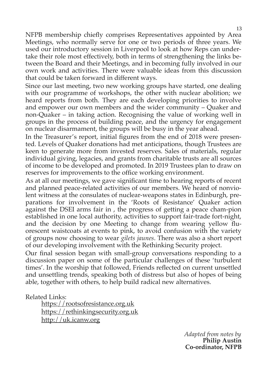NFPB membership chiefly comprises Representatives appointed by Area Meetings, who normally serve for one or two periods of three years. We used our introductory session in Liverpool to look at how Reps can undertake their role most effectively, both in terms of strengthening the links between the Board and their Meetings, and in becoming fully involved in our own work and activities. There were valuable ideas from this discussion that could be taken forward in different ways.

Since our last meeting, two new working groups have started, one dealing with our programme of workshops, the other with nuclear abolition; we heard reports from both. They are each developing priorities to involve and empower our own members and the wider community – Quaker and non-Quaker – in taking action. Recognising the value of working well in groups in the process of building peace, and the urgency for engagement on nuclear disarmament, the groups will be busy in the year ahead.

In the Treasurer's report, initial figures from the end of 2018 were presented. Levels of Quaker donations had met anticipations, though Trustees are keen to generate more from invested reserves. Sales of materials, regular individual giving, legacies, and grants from charitable trusts are all sources of income to be developed and promoted. In 2019 Trustees plan to draw on reserves for improvements to the office working environment.

As at all our meetings, we gave significant time to hearing reports of recent and planned peace-related activities of our members. We heard of nonviolent witness at the consulates of nuclear-weapons states in Edinburgh, preparations for involvement in the 'Roots of Resistance' Quaker action against the DSEI arms fair in , the progress of getting a peace cham-pion established in one local authority, activities to support fair-trade fort-night, and the decision by one Meeting to change from wearing yellow fluorescent waistcoats at events to pink, to avoid confusion with the variety of groups now choosing to wear *gilets jaunes*. There was also a short report of our developing involvement with the Rethinking Security project.

Our final session began with small-group conversations responding to a discussion paper on some of the particular challenges of these 'turbulent times'. In the worship that followed, Friends reflected on current unsettled and unsettling trends, speaking both of distress but also of hopes of being able, together with others, to help build radical new alternatives.

Related Links:

https://rootsofresistance.org.uk https://rethinkingsecurity.org.uk http://uk.icanw.org

> *Adapted from notes by* **Philip Austin Co-ordinator, NFPB**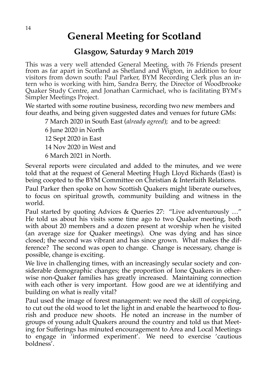## **General Meeting for Scotland**

#### **Glasgow, Saturday 9 March 2019**

This was a very well attended General Meeting, with 76 Friends present from as far apart in Scotland as Shetland and Wigton, in addition to four visitors from down south: Paul Parker, BYM Recording Clerk plus an intern who is working with him, Sandra Berry, the Director of Woodbrooke Quaker Study Centre, and Jonathan Carmichael, who is facilitating BYM's Simpler Meetings Project.

We started with some routine business, recording two new members and four deaths, and being given suggested dates and venues for future GMs:

7 March 2020 in South East (*already agreed*); and to be agreed:

6 June 2020 in North 12 Sept 2020 in East 14 Nov 2020 in West and 6 March 2021 in North.

Several reports were circulated and added to the minutes, and we were told that at the request of General Meeting Hugh Lloyd Richards (East) is being coopted to the BYM Committee on Christian & Interfaith Relations.

Paul Parker then spoke on how Scottish Quakers might liberate ourselves, to focus on spiritual growth, community building and witness in the world.

Paul started by quoting Advices & Queries 27: "Live adventurously …" He told us about his visits some time ago to two Quaker meeting, both with about 20 members and a dozen present at worship when he visited (an average size for Quaker meetings). One was dying and has since closed; the second was vibrant and has since grown. What makes the difference? The second was open to change. Change is necessary, change is possible, change is exciting.

We live in challenging times, with an increasingly secular society and considerable demographic changes; the proportion of lone Quakers in otherwise non-Quaker families has greatly increased. Maintaining connection with each other is very important. How good are we at identifying and building on what is really vital?

Paul used the image of forest management: we need the skill of coppicing, to cut out the old wood to let the light in and enable the heartwood to flourish and produce new shoots. He noted an increase in the number of groups of young adult Quakers around the country and told us that Meeting for Sufferings has minuted encouragement to Area and Local Meetings to engage in 'informed experiment'. We need to exercise 'cautious boldness'.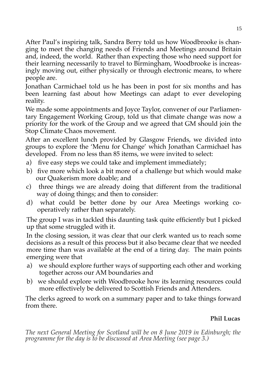After Paul's inspiring talk, Sandra Berry told us how Woodbrooke is changing to meet the changing needs of Friends and Meetings around Britain and, indeed, the world. Rather than expecting those who need support for their learning necessarily to travel to Birmingham, Woodbrooke is increasingly moving out, either physically or through electronic means, to where people are.

Jonathan Carmichael told us he has been in post for six months and has been learning fast about how Meetings can adapt to ever developing reality.

We made some appointments and Joyce Taylor, convener of our Parliamentary Engagement Working Group, told us that climate change was now a priority for the work of the Group and we agreed that GM should join the Stop Climate Chaos movement.

After an excellent lunch provided by Glasgow Friends, we divided into groups to explore the 'Menu for Change' which Jonathan Carmichael has developed. From no less than 85 items, we were invited to select:

- a) five easy steps we could take and implement immediately;
- b) five more which look a bit more of a challenge but which would make our Quakerism more doable; and
- c) three things we are already doing that different from the traditional way of doing things; and then to consider:
- d) what could be better done by our Area Meetings working cooperatively rather than separately.

The group I was in tackled this daunting task quite efficiently but I picked up that some struggled with it.

In the closing session, it was clear that our clerk wanted us to reach some decisions as a result of this process but it also became clear that we needed more time than was available at the end of a tiring day. The main points emerging were that

- a) we should explore further ways of supporting each other and working together across our AM boundaries and
- b) we should explore with Woodbrooke how its learning resources could more effectively be delivered to Scottish Friends and Attenders.

The clerks agreed to work on a summary paper and to take things forward from there.

#### **Phil Lucas**

*The next General Meeting for Scotland will be on 8 June 2019 in Edinburgh; the programme for the day is to be discussed at Area Meeting (see page 3.)*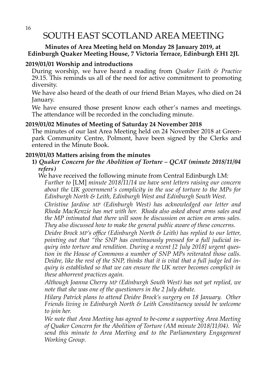### SOUTH EAST SCOTLAND AREA MEETING

#### **Minutes of Area Meeting held on Monday 28 January 2019, at Edinburgh Quaker Meeting House, 7 Victoria Terrace, Edinburgh EH1 2JL**

#### **2019/01/01 Worship and introductions**

During worship, we have heard a reading from *Quaker Faith & Practice* 29.15. This reminds us all of the need for active commitment to promoting diversity.

We have also heard of the death of our friend Brian Mayes, who died on 24 January.

We have ensured those present know each other's names and meetings. The attendance will be recorded in the concluding minute.

#### **2019/01/02 Minutes of Meeting of Saturday 24 November 2018**

The minutes of our last Area Meeting held on 24 November 2018 at Greenpark Community Centre, Polmont, have been signed by the Clerks and entered in the Minute Book.

#### **2019/01/03 Matters arising from the minutes**

**1)** *Quaker Concern for the Abolition of Torture – QCAT (minute 2018/11/04 refers)*

We have received the following minute from Central Edinburgh LM:

*Further to* [LM] *minute 2018/11/14 we have sent letters raising our concern about the UK government's complicity in the use of torture to the MPs for Edinburgh North & Leith, Edinburgh West and Edinburgh South West.* 

*Christine Jardine MP (Edinburgh West) has acknowledged our letter and Rhoda MacKenzie has met with her. Rhoda also asked about arms sales and the MP intimated that there will soon be discussion on action on arms sales. They also discussed how to make the general public aware of these concerns.* 

*Deidre Brock MP's office (Edinburgh North & Leith) has replied to our letter, pointing out that "the SNP has continuously pressed for a full judicial inquiry into torture and rendition. During a recent [2 July 2018] urgent question in the House of Commons a number of SNP MPs reiterated those calls. Deidre, like the rest of the SNP, thinks that it is vital that a full judge led inquiry is established so that we can ensure the UK never becomes complicit in these abhorrent practices again.* 

*Although Joanna Cherry MP (Edinburgh South West) has not yet replied, we note that she was one of the questioners in the 2 July debate.* 

*Hilary Patrick plans to attend Deidre Brock's surgery on 18 January. Other Friends living in Edinburgh North & Leith Constituency would be welcome to join her.* 

*We note that Area Meeting has agreed to be-come a supporting Area Meeting of Quaker Concern for the Abolition of Torture (AM minute 2018/11/04). We send this minute to Area Meeting and to the Parliamentary Engagement Working Group.*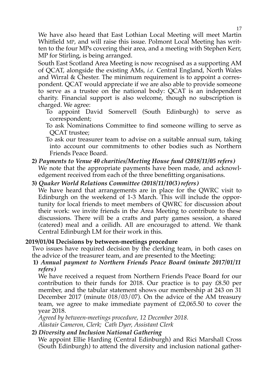We have also heard that East Lothian Local Meeting will meet Martin Whitfield MP, and will raise this issue. Polmont Local Meeting has written to the four MPs covering their area, and a meeting with Stephen Kerr, MP for Stirling, is being arranged.

South East Scotland Area Meeting is now recognised as a supporting AM of QCAT, alongside the existing AMs, *i.e.* Central England, North Wales and Wirral & Chester. The minimum requirement is to appoint a correspondent. QCAT would appreciate if we are also able to provide someone to serve as a trustee on the national body: QCAT is an independent charity. Financial support is also welcome, though no subscription is charged. We agree:

- To appoint David Somervell (South Edinburgh) to serve as correspondent;
- To ask Nominations Committee to find someone willing to serve as QCAT trustee;

To ask our treasurer team to advise on a suitable annual sum, taking into account our commitments to other bodies such as Northern Friends Peace Board.

#### **2)** *Payments to Venue 40 charities/Meeting House fund (2018/11/05 refers)* We note that the appropriate payments have been made, and acknowl-

edgement received from each of the three benefitting organisations.

#### **3)** *Quaker World Relations Committee (2018/11/10(3) refers)*

We have heard that arrangements are in place for the QWRC visit to Edinburgh on the weekend of 1-3 March. This will include the opportunity for local friends to meet members of QWRC for discussion about their work: we invite friends in the Area Meeting to contribute to these discussions. There will be a crafts and party games session, a shared (catered) meal and a ceilidh. All are encouraged to attend. We thank Central Edinburgh LM for their work in this.

#### **2019/01/04 Decisions by between-meetings procedure**

Two issues have required decision by the clerking team, in both cases on the advice of the treasurer team, and are presented to the Meeting:

#### **1)** *Annual payment to Northern Friends Peace Board (minute 2017/01/11 refers)*

We have received a request from Northern Friends Peace Board for our contribution to their funds for 2018. Our practice is to pay £8.50 per member, and the tabular statement shows our membership at 243 on 31 December 2017 (minute 018/03/07). On the advice of the AM treasury team, we agree to make immediate payment of £2,065.50 to cover the year 2018.

*Agreed by between-meetings procedure, 12 December 2018. Alastair Cameron, Clerk; Cath Dyer, Assistant Clerk*

#### **2)** *Diversity and Inclusion National Gathering*

We appoint Ellie Harding (Central Edinburgh) and Rici Marshall Cross (South Edinburgh) to attend the diversity and inclusion national gather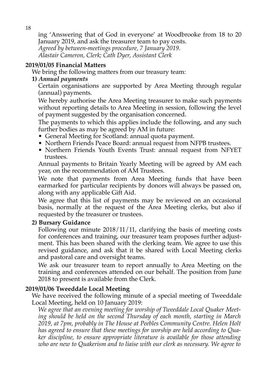ing 'Answering that of God in everyone' at Woodbrooke from 18 to 20 January 2019, and ask the treasurer team to pay costs.

*Agreed by between-meetings procedure, 7 January 2019. Alastair Cameron, Clerk; Cath Dyer, Assistant Clerk* 

#### **2019/01/05 Financial Matters**

We bring the following matters from our treasury team:

#### **1)** *Annual payments*

Certain organisations are supported by Area Meeting through regular (annual) payments.

We hereby authorise the Area Meeting treasurer to make such payments without reporting details to Area Meeting in session, following the level of payment suggested by the organisation concerned.

The payments to which this applies include the following, and any such further bodies as may be agreed by AM in future:

- General Meeting for Scotland: annual quota payment.
- Northern Friends Peace Board: annual request from NFPB trustees.
- Northern Friends Youth Events Trust: annual request from NFYET trustees.

Annual payments to Britain Yearly Meeting will be agreed by AM each year, on the recommendation of AM Trustees.

We note that payments from Area Meeting funds that have been earmarked for particular recipients by donors will always be passed on, along with any applicable Gift Aid.

We agree that this list of payments may be reviewed on an occasional basis, normally at the request of the Area Meeting clerks, but also if requested by the treasurer or trustees.

#### **2) Bursary Guidance**

Following our minute 2018/11/11, clarifying the basis of meeting costs for conferences and training, our treasurer team proposes further adjustment. This has been shared with the clerking team. We agree to use this revised guidance, and ask that it be shared with Local Meeting clerks and pastoral care and oversight teams.

We ask our treasurer team to report annually to Area Meeting on the training and conferences attended on our behalf. The position from June 2018 to present is available from the Clerk.

#### **2019/01/06 Tweeddale Local Meeting**

We have received the following minute of a special meeting of Tweeddale Local Meeting, held on 10 January 2019:

*We agree that an evening meeting for worship of Tweeddale Local Quaker Meeting should be held on the second Thursday of each month, starting in March 2019, at 7pm, probably in The House at Peebles Community Centre. Helen Holt has agreed to ensure that these meetings for worship are held according to Quaker discipline, to ensure appropriate literature is available for those attending who are new to Quakerism and to liaise with our clerk as necessary. We agree to*

18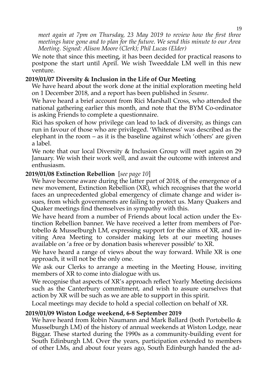*meet again at 7pm on Thursday, 23 May 2019 to review how the first three meetings have gone and to plan for the future. We send this minute to our Area Meeting. Signed: Alison Moore (Clerk); Phil Lucas (Elder)* 

We note that since this meeting, it has been decided for practical reasons to postpone the start until April. We wish Tweeddale LM well in this new venture.

#### **2019/01/07 Diversity & Inclusion in the Life of Our Meeting**

We have heard about the work done at the initial exploration meeting held on 1 December 2018, and a report has been published in *Sesame*.

We have heard a brief account from Rici Marshall Cross, who attended the national gathering earlier this month, and note that the BYM Co-ordinator is asking Friends to complete a questionnaire.

Rici has spoken of how privilege can lead to lack of diversity, as things can run in favour of those who are privileged. 'Whiteness' was described as the elephant in the room – as it is the baseline against which 'others' are given a label.

We note that our local Diversity & Inclusion Group will meet again on 29 January. We wish their work well, and await the outcome with interest and enthusiasm.

#### **2019/01/08 Extinction Rebellion** [*see page 10*]

We have become aware during the latter part of 2018, of the emergence of a new movement, Extinction Rebellion (XR), which recognises that the world faces an unprecedented global emergency of climate change and wider issues, from which governments are failing to protect us. Many Quakers and Quaker meetings find themselves in sympathy with this.

We have heard from a number of Friends about local action under the Extinction Rebellion banner. We have received a letter from members of Portobello & Musselburgh LM, expressing support for the aims of XR, and inviting Area Meeting to consider making lets at our meeting houses available on 'a free or by donation basis wherever possible' to XR.

We have heard a range of views about the way forward. While XR is one approach, it will not be the only one.

We ask our Clerks to arrange a meeting in the Meeting House, inviting members of XR to come into dialogue with us.

We recognise that aspects of XR's approach reflect Yearly Meeting decisions such as the Canterbury commitment, and wish to assure ourselves that action by XR will be such as we are able to support in this spirit.

Local meetings may decide to hold a special collection on behalf of XR.

#### **2019/01/09 Wiston Lodge weekend, 6-8 September 2019**

We have heard from Robin Naumann and Mark Ballard (both Portobello & Musselburgh LM) of the history of annual weekends at Wiston Lodge, near Biggar. These started during the 1990s as a community-building event for South Edinburgh LM. Over the years, participation extended to members of other LMs, and about four years ago, South Edinburgh handed the ad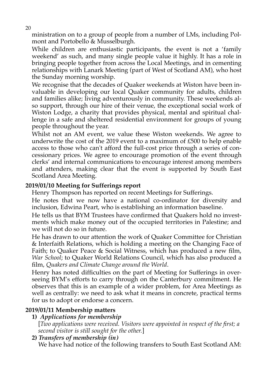ministration on to a group of people from a number of LMs, including Polmont and Portobello & Musselburgh.

While children are enthusiastic participants, the event is not a 'family weekend' as such, and many single people value it highly. It has a role in bringing people together from across the Local Meetings, and in cementing relationships with Lanark Meeting (part of West of Scotland AM), who host the Sunday morning worship.

We recognise that the decades of Quaker weekends at Wiston have been invaluable in developing our local Quaker community for adults, children and families alike; living adventurously in community. These weekends also support, through our hire of their venue, the exceptional social work of Wiston Lodge, a charity that provides physical, mental and spiritual challenge in a safe and sheltered residential environment for groups of young people throughout the year.

Whilst not an AM event, we value these Wiston weekends. We agree to underwrite the cost of the 2019 event to a maximum of £500 to help enable access to those who can't afford the full-cost price through a series of concessionary prices. We agree to encourage promotion of the event through clerks' and internal communications to encourage interest among members and attenders, making clear that the event is supported by South East Scotland Area Meeting.

#### **2019/01/10 Meeting for Sufferings report**

Henry Thompson has reported on recent Meetings for Sufferings.

He notes that we now have a national co-ordinator for diversity and inclusion, Edwina Peart, who is establishing an information baseline.

He tells us that BYM Trustees have confirmed that Quakers hold no investments which make money out of the occupied territories in Palestine; and we will not do so in future.

He has drawn to our attention the work of Quaker Committee for Christian & Interfaith Relations, which is holding a meeting on the Changing Face of Faith; to Quaker Peace & Social Witness, which has produced a new film, *War School*; to Quaker World Relations Council, which has also produced a film, *Quakers and Climate Change around the World*.

Henry has noted difficulties on the part of Meeting for Sufferings in overseeing BYM's efforts to carry through on the Canterbury commitment. He observes that this is an example of a wider problem, for Area Meetings as well as centrally: we need to ask what it means in concrete, practical terms for us to adopt or endorse a concern.

#### **2019/01/11 Membership matters**

#### **1)** *Applications for membership*

[*Two applications were received. Visitors were appointed in respect of the first; a second visitor is still sought for the other.*]

**2)** *Transfers of membership (in)*

We have had notice of the following transfers to South East Scotland AM: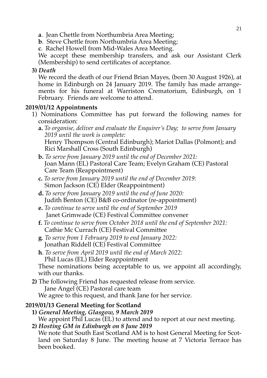- **a**. Jean Chettle from Northumbria Area Meeting;
- **b**. Steve Chettle from Northumbria Area Meeting;
- **c**. Rachel Howell from Mid-Wales Area Meeting.

We accept these membership transfers, and ask our Assistant Clerk (Membership) to send certificates of acceptance.

**3)** *Death*

We record the death of our Friend Brian Mayes, (born 30 August 1926), at home in Edinburgh on 24 January 2019. The family has made arrangements for his funeral at Warriston Crematorium, Edinburgh, on 1 February. Friends are welcome to attend.

#### **2019/01/12 Appointments**

- 1) Nominations Committee has put forward the following names for consideration:
	- **a.** *To organise, deliver and evaluate the Enquirer's Day; to serve from January 2019 until the work is complete:*  Henry Thompson (Central Edinburgh); Mariot Dallas (Polmont); and Rici Marshall Cross (South Edinburgh)
	- **b.** *To serve from January 2019 until the end of December 2021:* Joan Mann (EL) Pastoral Care Team; Evelyn Graham (CE) Pastoral Care Team (Reappointment)
	- **c.** *To serve from January 2019 until the end of December 2019:* Simon Jackson (CE) Elder (Reappointment)
	- **d.** *To serve from January 2019 until the end of June 2020:* Judith Benton (CE) B&B co-ordinator (re-appointment)
	- **e.** *To continue to serve until the end of September 2019* Janet Grimwade (CE) Festival Committee convener
	- **f.** *To continue to serve from October 2018 until the end of September 2021:*  Cathie Mc Currach (CE) Festival Committee
	- **g**. *To serve from 1 February 2019 to end January 2022:*  Jonathan Riddell (CE) Festival Committee
	- **h**. *To serve from April 2019 until the end of March 2022:* Phil Lucas (EL) Elder Reappointment

These nominations being acceptable to us, we appoint all accordingly, with our thanks.

**2)** The following Friend has requested release from service. Jane Angel (CE) Pastoral care team We agree to this request, and thank Jane for her service.

#### **2019/01/13 General Meeting for Scotland**

- **1)** *General Meeting, Glasgow, 9 March 2019* We appoint Phil Lucas (EL) to attend and to report at our next meeting.
- **2)** *Hosting GM in Edinburgh on 8 June 2019*

We note that South East Scotland AM is to host General Meeting for Scotland on Saturday 8 June. The meeting house at 7 Victoria Terrace has been booked.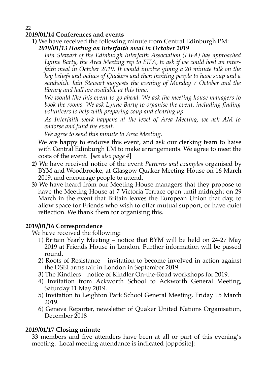#### 22 **2019/01/14 Conferences and events**

**1)** We have received the following minute from Central Edinburgh PM: *2019/01/13 Hosting an Interfaith meal in October 2019* 

*Iain Stewart of the Edinburgh Interfaith Association (EIFA) has approached Lynne Barty, the Area Meeting rep to EIFA, to ask if we could host an interfaith meal in October 2019. It would involve giving a 20 minute talk on the key beliefs and values of Quakers and then inviting people to have soup and a sandwich. Iain Stewart suggests the evening of Monday 7 October and the library and hall are available at this time.* 

*We would like this event to go ahead. We ask the meeting house managers to book the rooms. We ask Lynne Barty to organise the event, including finding volunteers to help with preparing soup and clearing up.* 

*As Interfaith work happens at the level of Area Meeting, we ask AM to endorse and fund the event.* 

*We agree to send this minute to Area Meeting.*

We are happy to endorse this event, and ask our clerking team to liaise with Central Edinburgh LM to make arrangements. We agree to meet the costs of the event. [*see also page 4*]

- **2)** We have received notice of the event *Patterns and examples* organised by BYM and Woodbrooke, at Glasgow Quaker Meeting House on 16 March 2019, and encourage people to attend.
- **3)** We have heard from our Meeting House managers that they propose to have the Meeting House at 7 Victoria Terrace open until midnight on 29 March in the event that Britain leaves the European Union that day, to allow space for Friends who wish to offer mutual support, or have quiet reflection. We thank them for organising this.

#### **2019/01/16 Correspondence**

We have received the following:

- 1) Britain Yearly Meeting notice that BYM will be held on 24-27 May 2019 at Friends House in London. Further information will be passed round.
- 2) Roots of Resistance invitation to become involved in action against the DSEI arms fair in London in September 2019.
- 3) The Kindlers notice of Kindler On-the-Road workshops for 2019.
- 4) Invitation from Ackworth School to Ackworth General Meeting, Saturday 11 May 2019.
- 5) Invitation to Leighton Park School General Meeting, Friday 15 March 2019.
- 6) Geneva Reporter, newsletter of Quaker United Nations Organisation, December 2018

#### **2019/01/17 Closing minute**

33 members and five attenders have been at all or part of this evening's meeting. Local meeting attendance is indicated [opposite]: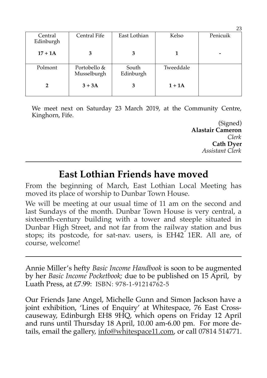|                      |                             |                    |           | --       |
|----------------------|-----------------------------|--------------------|-----------|----------|
| Central<br>Edinburgh | Central Fife                | East Lothian       | Kelso     | Penicuik |
| $17 + 1A$            | 3                           | 3                  |           |          |
| Polmont              | Portobello &<br>Musselburgh | South<br>Edinburgh | Tweeddale |          |
| 2                    | $3 + 3A$                    | 3                  | $1+1A$    |          |

We meet next on Saturday 23 March 2019, at the Community Centre, Kinghorn, Fife.

> (Signed) **Alastair Cameron** *Clerk* **Cath Dyer** *Assistant Clerk*

## **East Lothian Friends have moved**

From the beginning of March, East Lothian Local Meeting has moved its place of worship to Dunbar Town House.

We will be meeting at our usual time of 11 am on the second and last Sundays of the month. Dunbar Town House is very central, a sixteenth-century building with a tower and steeple situated in Dunbar High Street, and not far from the railway station and bus stops; its postcode, for sat-nav. users, is EH42 1ER. All are, of course, welcome!

Annie Miller's hefty *Basic Income Handbook* is soon to be augmented by her *Basic Income Pocketbook;* due to be published on 15 April, by Luath Press, at £7.99: ISBN: 978-1-91214762-5

Our Friends Jane Angel, Michelle Gunn and Simon Jackson have a joint exhibition, 'Lines of Enquiry' at Whitespace, 76 East Crosscauseway, Edinburgh EH8 9HQ, which opens on Friday 12 April and runs until Thursday 18 April, 10.00 am-6.00 pm. For more details, email the gallery, info@whitespace11.com, or call 07814 514771.

23